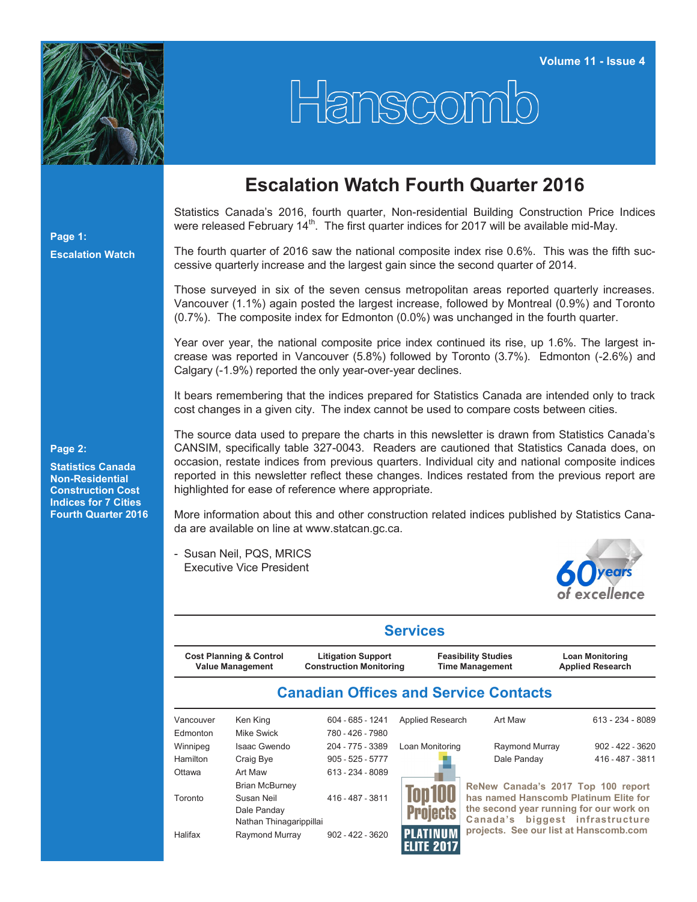

## Hanscomb

## **Escalation Watch Fourth Quarter 2016**

Statistics Canada's 2016, fourth quarter, Non-residential Building Construction Price Indices were released February  $14<sup>th</sup>$ . The first quarter indices for 2017 will be available mid-May.

The fourth quarter of 2016 saw the national composite index rise 0.6%. This was the fifth successive quarterly increase and the largest gain since the second quarter of 2014.

Those surveyed in six of the seven census metropolitan areas reported quarterly increases. Vancouver (1.1%) again posted the largest increase, followed by Montreal (0.9%) and Toronto (0.7%). The composite index for Edmonton (0.0%) was unchanged in the fourth quarter.

Year over year, the national composite price index continued its rise, up 1.6%. The largest increase was reported in Vancouver (5.8%) followed by Toronto (3.7%). Edmonton (-2.6%) and Calgary (-1.9%) reported the only year-over-year declines.

It bears remembering that the indices prepared for Statistics Canada are intended only to track cost changes in a given city. The index cannot be used to compare costs between cities.

**Page 2:**

**Statistics Canada Non-Residential Construction Cost Indices for 7 Cities Fourth Quarter 2016** The source data used to prepare the charts in this newsletter is drawn from Statistics Canada's CANSIM, specifically table 327-0043. Readers are cautioned that Statistics Canada does, on occasion, restate indices from previous quarters. Individual city and national composite indices reported in this newsletter reflect these changes. Indices restated from the previous report are highlighted for ease of reference where appropriate.

More information about this and other construction related indices published by Statistics Canada are available on line at [www.statcan.gc.ca.](http://www.statcan.gc.ca)

**Services**

- Susan Neil, PQS, MRICS Executive Vice President



| ƏH VIL <del>U</del> S          |                                                                               |                                                             |                                     |                                                      |                                                                                                                                                  |  |  |  |  |  |  |  |
|--------------------------------|-------------------------------------------------------------------------------|-------------------------------------------------------------|-------------------------------------|------------------------------------------------------|--------------------------------------------------------------------------------------------------------------------------------------------------|--|--|--|--|--|--|--|
|                                | <b>Cost Planning &amp; Control</b><br><b>Value Management</b>                 | <b>Litigation Support</b><br><b>Construction Monitoring</b> |                                     | <b>Feasibility Studies</b><br><b>Time Management</b> | <b>Loan Monitoring</b><br><b>Applied Research</b>                                                                                                |  |  |  |  |  |  |  |
|                                |                                                                               |                                                             |                                     | <b>Canadian Offices and Service Contacts</b>         |                                                                                                                                                  |  |  |  |  |  |  |  |
| Vancouver<br>Edmonton          | Ken King<br>Mike Swick                                                        | 604 - 685 - 1241<br>780 - 426 - 7980                        | Applied Research                    | Art Maw                                              | 613 - 234 - 8089                                                                                                                                 |  |  |  |  |  |  |  |
| Winnipeg<br>Hamilton<br>Ottawa | Isaac Gwendo<br>Craig Bye<br>Art Maw                                          | 204 - 775 - 3389<br>$905 - 525 - 5777$<br>613 - 234 - 8089  | Loan Monitoring                     | Raymond Murray<br>Dale Panday                        | $902 - 422 - 3620$<br>416 - 487 - 3811                                                                                                           |  |  |  |  |  |  |  |
| Toronto                        | <b>Brian McBurney</b><br>Susan Neil<br>Dale Panday<br>Nathan Thinagarippillai | 416 - 487 - 3811                                            | <b>rojects</b>                      | Canada's                                             | ReNew Canada's 2017 Top 100 report<br>has named Hanscomb Platinum Elite for<br>the second year running for our work on<br>biggest infrastructure |  |  |  |  |  |  |  |
| Halifax                        | Raymond Murray                                                                | $902 - 422 - 3620$                                          | <b>LATINUM</b><br><b>ELITE 2017</b> |                                                      | projects. See our list at Hanscomb.com                                                                                                           |  |  |  |  |  |  |  |

**Escalation Watch**

**Page 1:**